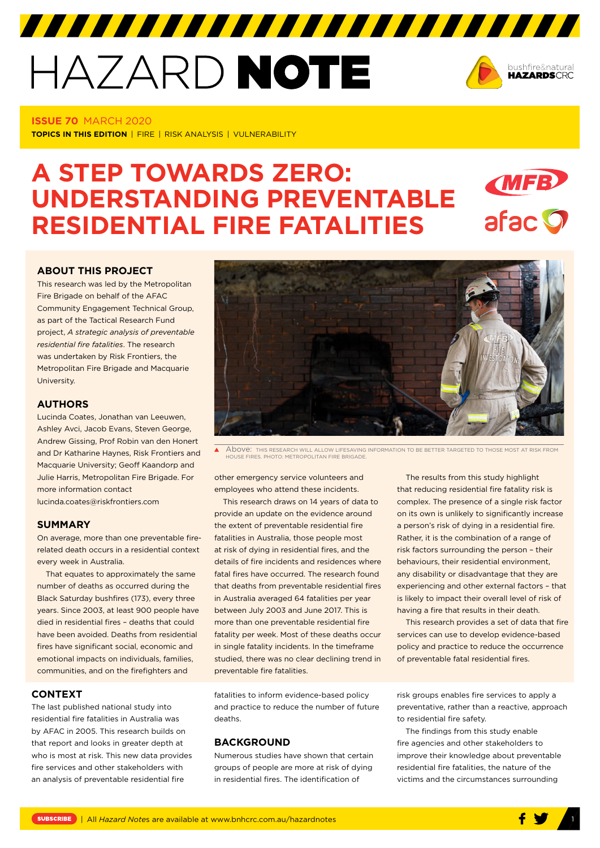# HAZARD NOTE



#### **ISSUE 70** MARCH 2020

**TOPICS IN THIS EDITION** | FIRE | RISK ANALYSIS | VULNERABILITY

# **A STEP TOWARDS ZERO: MFB UNDERSTANDING PREVENTABLE**  afac **O RESIDENTIAL FIRE FATALITIES**

#### **[ABOUT THIS PROJECT](https://www.bnhcrc.com.au/hazardnotes/70)**

This research was led by the Metropolitan Fire Brigade on behalf of the AFAC Community Engagement Technical Group, as part of the Tactical Research Fund project, *A strategic analysis of preventable residential fire fatalities*. The research was undertaken by Risk Frontiers, the Metropolitan Fire Brigade and Macquarie University.

#### **AUTHORS**

Lucinda Coates, Jonathan van Leeuwen, Ashley Avci, Jacob Evans, Steven George, Andrew Gissing, Prof Robin van den Honert and Dr Katharine Haynes, Risk Frontiers and Macquarie University; Geoff Kaandorp and Julie Harris, Metropolitan Fire Brigade. For more information contact lucinda.coates@riskfrontiers.com

#### **SUMMARY**

On average, more than one preventable firerelated death occurs in a residential context every week in Australia.

That equates to approximately the same number of deaths as occurred during the Black Saturday bushfires (173), every three years. Since 2003, at least 900 people have died in residential fires – deaths that could have been avoided. Deaths from residential fires have significant social, economic and emotional impacts on individuals, families, communities, and on the firefighters and

# **CONTEXT**

The last published national study into residential fire fatalities in Australia was by AFAC in 2005. This research builds on that report and looks in greater depth at who is most at risk. This new data provides fire services and other stakeholders with an analysis of preventable residential fire



Above: THIS RESEARCH WILL ALLOW LIFESAVING INFORMATION TO BE BETTER TARGETED TO THOSE MOST AT RISK FROM  $\blacktriangle$ HOUSE FIRES. PHOTO: METROPOLITAN FIRE BRIGADE.

other emergency service volunteers and employees who attend these incidents.

This research draws on 14 years of data to provide an update on the evidence around the extent of preventable residential fire fatalities in Australia, those people most at risk of dying in residential fires, and the details of fire incidents and residences where fatal fires have occurred. The research found that deaths from preventable residential fires in Australia averaged 64 fatalities per year between July 2003 and June 2017. This is more than one preventable residential fire fatality per week. Most of these deaths occur in single fatality incidents. In the timeframe studied, there was no clear declining trend in preventable fire fatalities.

fatalities to inform evidence-based policy and practice to reduce the number of future deaths.

#### **BACKGROUND**

Numerous studies have shown that certain groups of people are more at risk of dying in residential fires. The identification of

The results from this study highlight that reducing residential fire fatality risk is complex. The presence of a single risk factor on its own is unlikely to significantly increase a person's risk of dying in a residential fire. Rather, it is the combination of a range of risk factors surrounding the person – their behaviours, their residential environment, any disability or disadvantage that they are experiencing and other external factors – that is likely to impact their overall level of risk of having a fire that results in their death.

This research provides a set of data that fire services can use to develop evidence-based policy and practice to reduce the occurrence of preventable fatal residential fires.

risk groups enables fire services to apply a preventative, rather than a reactive, approach to residential fire safety.

The findings from this study enable fire agencies and other stakeholders to improve their knowledge about preventable residential fire fatalities, the nature of the victims and the circumstances surrounding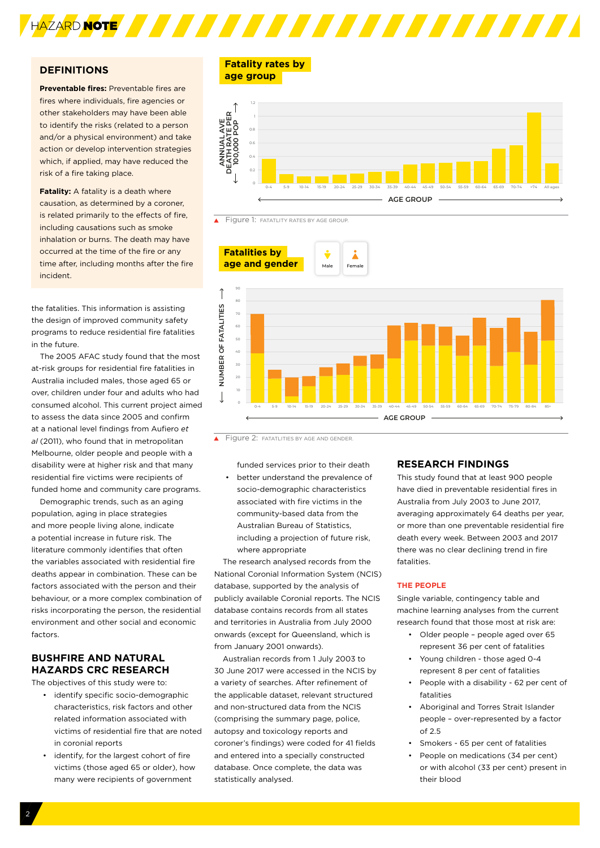

## **DEFINITIONS**

**Preventable fires:** Preventable fires are fires where individuals, fire agencies or other stakeholders may have been able to identify the risks (related to a person and/or a physical environment) and take action or develop intervention strategies which, if applied, may have reduced the risk of a fire taking place.

**Fatality:** A fatality is a death where causation, as determined by a coroner, is related primarily to the effects of fire, including causations such as smoke inhalation or burns. The death may have occurred at the time of the fire or any time after, including months after the fire incident.

the fatalities. This information is assisting the design of improved community safety programs to reduce residential fire fatalities in the future.

The 2005 AFAC study found that the most at-risk groups for residential fire fatalities in Australia included males, those aged 65 or over, children under four and adults who had consumed alcohol. This current project aimed to assess the data since 2005 and confirm at a national level findings from Aufiero *et al* (2011), who found that in metropolitan Melbourne, older people and people with a disability were at higher risk and that many residential fire victims were recipients of funded home and community care programs.

Demographic trends, such as an aging population, aging in place strategies and more people living alone, indicate a potential increase in future risk. The literature commonly identifies that often the variables associated with residential fire deaths appear in combination. These can be factors associated with the person and their behaviour, or a more complex combination of risks incorporating the person, the residential environment and other social and economic factors.

# **BUSHFIRE AND NATURAL HAZARDS CRC RESEARCH**

The objectives of this study were to:

- identify specific socio-demographic characteristics, risk factors and other related information associated with victims of residential fire that are noted in coronial reports
- identify, for the largest cohort of fire victims (those aged 65 or older), how many were recipients of government

**Fatality rates by age group** 







Figure 2: FATATLITIES BY AGE AND GENDER

funded services prior to their death • better understand the prevalence of socio-demographic characteristics associated with fire victims in the community-based data from the Australian Bureau of Statistics, including a projection of future risk, where appropriate

The research analysed records from the National Coronial Information System (NCIS) database, supported by the analysis of publicly available Coronial reports. The NCIS database contains records from all states and territories in Australia from July 2000 onwards (except for Queensland, which is from January 2001 onwards).

Australian records from 1 July 2003 to 30 June 2017 were accessed in the NCIS by a variety of searches. After refinement of the applicable dataset, relevant structured and non-structured data from the NCIS (comprising the summary page, police, autopsy and toxicology reports and coroner's findings) were coded for 41 fields and entered into a specially constructed database. Once complete, the data was statistically analysed.

## **RESEARCH FINDINGS**

This study found that at least 900 people have died in preventable residential fires in Australia from July 2003 to June 2017, averaging approximately 64 deaths per year, or more than one preventable residential fire death every week. Between 2003 and 2017 there was no clear declining trend in fire fatalities.

#### **THE PEOPLE**

Single variable, contingency table and machine learning analyses from the current research found that those most at risk are:

- Older people people aged over 65 represent 36 per cent of fatalities
- Young children those aged 0-4 represent 8 per cent of fatalities
- People with a disability 62 per cent of fatalities
- Aboriginal and Torres Strait Islander people – over-represented by a factor of 2.5
- Smokers 65 per cent of fatalities
- People on medications (34 per cent) or with alcohol (33 per cent) present in their blood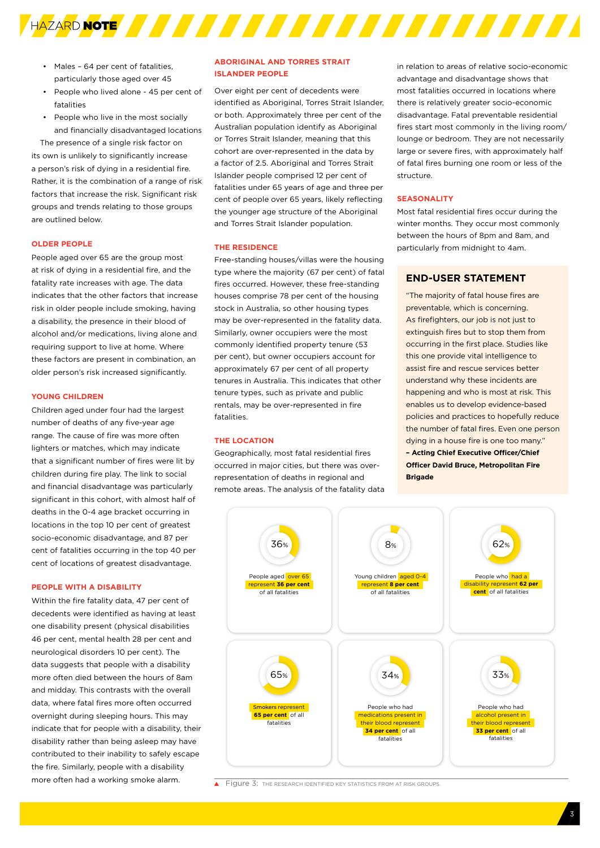

- Males 64 per cent of fatalities, particularly those aged over 45
- People who lived alone 45 per cent of fatalities
- People who live in the most socially and financially disadvantaged locations

The presence of a single risk factor on its own is unlikely to significantly increase a person's risk of dying in a residential fire. Rather, it is the combination of a range of risk factors that increase the risk. Significant risk groups and trends relating to those groups are outlined below.

#### **OLDER PEOPLE**

People aged over 65 are the group most at risk of dying in a residential fire, and the fatality rate increases with age. The data indicates that the other factors that increase risk in older people include smoking, having a disability, the presence in their blood of alcohol and/or medications, living alone and requiring support to live at home. Where these factors are present in combination, an older person's risk increased significantly.

#### **YOUNG CHILDREN**

Children aged under four had the largest number of deaths of any five-year age range. The cause of fire was more often lighters or matches, which may indicate that a significant number of fires were lit by children during fire play. The link to social and financial disadvantage was particularly significant in this cohort, with almost half of deaths in the 0-4 age bracket occurring in locations in the top 10 per cent of greatest socio-economic disadvantage, and 87 per cent of fatalities occurring in the top 40 per cent of locations of greatest disadvantage.

#### **PEOPLE WITH A DISABILITY**

Within the fire fatality data, 47 per cent of decedents were identified as having at least one disability present (physical disabilities 46 per cent, mental health 28 per cent and neurological disorders 10 per cent). The data suggests that people with a disability more often died between the hours of 8am and midday. This contrasts with the overall data, where fatal fires more often occurred overnight during sleeping hours. This may indicate that for people with a disability, their disability rather than being asleep may have contributed to their inability to safely escape the fire. Similarly, people with a disability more often had a working smoke alarm.

#### **ABORIGINAL AND TORRES STRAIT ISLANDER PEOPLE**

Over eight per cent of decedents were identified as Aboriginal, Torres Strait Islander, or both. Approximately three per cent of the Australian population identify as Aboriginal or Torres Strait Islander, meaning that this cohort are over-represented in the data by a factor of 2.5. Aboriginal and Torres Strait Islander people comprised 12 per cent of fatalities under 65 years of age and three per cent of people over 65 years, likely reflecting the younger age structure of the Aboriginal and Torres Strait Islander population.

#### **THE RESIDENCE**

Free-standing houses/villas were the housing type where the majority (67 per cent) of fatal fires occurred. However, these free-standing houses comprise 78 per cent of the housing stock in Australia, so other housing types may be over-represented in the fatality data. Similarly, owner occupiers were the most commonly identified property tenure (53 per cent), but owner occupiers account for approximately 67 per cent of all property tenures in Australia. This indicates that other tenure types, such as private and public rentals, may be over-represented in fire fatalities.

#### **THE LOCATION**

Geographically, most fatal residential fires occurred in major cities, but there was overrepresentation of deaths in regional and remote areas. The analysis of the fatality data

in relation to areas of relative socio-economic advantage and disadvantage shows that most fatalities occurred in locations where there is relatively greater socio-economic disadvantage. Fatal preventable residential fires start most commonly in the living room/ lounge or bedroom. They are not necessarily large or severe fires, with approximately half of fatal fires burning one room or less of the structure.

#### **SEASONALITY**

Most fatal residential fires occur during the winter months. They occur most commonly between the hours of 8pm and 8am, and particularly from midnight to 4am.

#### **END-USER STATEMENT**

"The majority of fatal house fires are preventable, which is concerning. As firefighters, our job is not just to extinguish fires but to stop them from occurring in the first place. Studies like this one provide vital intelligence to assist fire and rescue services better understand why these incidents are happening and who is most at risk. This enables us to develop evidence-based policies and practices to hopefully reduce the number of fatal fires. Even one person dying in a house fire is one too many." **– Acting Chief Executive Officer/Chief Officer David Bruce, Metropolitan Fire Brigade**



Figure 3: The RESEARCH IDENTIFIED KEY STATISTICS FROM AT RISK GROUPS.